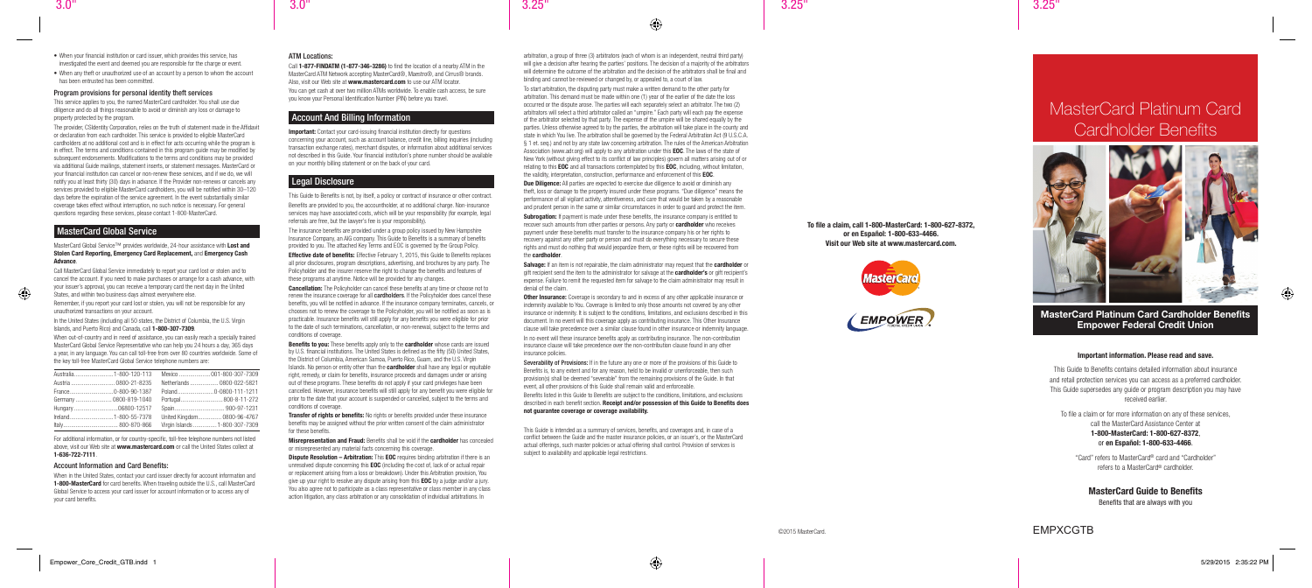# MasterCard Platinum Card Cardholder Benefits



# ©2015 MasterCard. EMPXCGTB

## MasterCard Platinum Card Cardholder Benefits Empower Federal Credit Union

#### Important information. Please read and save.

This Guide to Benefits contains detailed information about insurance and retail protection services you can access as a preferred cardholder. This Guide supersedes any guide or program description you may have received earlier.

To file a claim or for more information on any of these services, call the MasterCard Assistance Center at

### 1-800-MasterCard: 1-800-627-8372, or en Español: 1-800-633-4466.

"Card" refers to MasterCard® card and "Cardholder" refers to a MasterCard® cardholder.

### MasterCard Guide to Benefits

Benefits that are always with you

- When your financial institution or card issuer, which provides this service, has investigated the event and deemed you are responsible for the charge or event.
- When any theft or unauthorized use of an account by a person to whom the account has been entrusted has been committed.

#### Program provisions for personal identity theft services

This service applies to you, the named MasterCard cardholder. You shall use due diligence and do all things reasonable to avoid or diminish any loss or damage to property protected by the program.

#### MasterCard Global Service™ provides worldwide, 24-hour assistance with Lost and Stolen Card Reporting, Emergency Card Replacement, and Emergency Cash Advance.

In the United States (including all 50 states, the District of Columbia, the U.S. Virgin Islands, and Puerto Rico) and Canada, call 1-800-307-7309.

When out-of-country and in need of assistance, you can easily reach a specially trained MasterCard Global Service Representative who can help you 24 hours a day, 365 days a year, in any language. You can call toll-free from over 80 countries worldwide. Some of the key toll-free MasterCard Global Service telephone numbers are:

The provider, CSIdentity Corporation, relies on the truth of statement made in the Affidavit or declaration from each cardholder. This service is provided to eligible MasterCard cardholders at no additional cost and is in effect for acts occurring while the program is in effect. The terms and conditions contained in this program guide may be modified by subsequent endorsements. Modifications to the terms and conditions may be provided via additional Guide mailings, statement inserts, or statement messages. MasterCard or your financial institution can cancel or non-renew these services, and if we do, we will notify you at least thirty (30) days in advance. If the Provider non-renews or cancels any services provided to eligible MasterCard cardholders, you will be notified within 30–120 days before the expiration of the service agreement. In the event substantially similar coverage takes effect without interruption, no such notice is necessary. For general questions regarding these services, please contact 1-800-MasterCard.

### MasterCard Global Service

Call 1-877-FINDATM (1-877-346-3286) to find the location of a nearby ATM in the MasterCard ATM Network accepting MasterCard®, Maestro®, and Cirrus® brands. Also, visit our Web site at www.mastercard.com to use our ATM locator. You can get cash at over two million ATMs worldwide. To enable cash access, be sure you know your Personal Identification Number (PIN) before you travel.

Call MasterCard Global Service immediately to report your card lost or stolen and to cancel the account. If you need to make purchases or arrange for a cash advance, with your issuer's approval, you can receive a temporary card the next day in the United States, and within two business days almost everywhere else.

**Important:** Contact your card-issuing financial institution directly for questions concerning your account, such as account balance, credit line, billing inquiries (including transaction exchange rates), merchant disputes, or information about additional services not described in this Guide. Your financial institution's phone number should be available on your monthly billing statement or on the back of your card.

Remember, if you report your card lost or stolen, you will not be responsible for any unauthorized transactions on your account.

**Effective date of benefits:** Effective February 1, 2015, this Guide to Benefits replaces all prior disclosures, program descriptions, advertising, and brochures by any party. The Policyholder and the insurer reserve the right to change the benefits and features of these programs at anytime. Notice will be provided for any changes.

**Cancellation:** The Policyholder can cancel these benefits at any time or choose not to renew the insurance coverage for all **cardholders**. If the Policyholder does cancel these benefits, you will be notified in advance. If the insurance company terminates, cancels, or chooses not to renew the coverage to the Policyholder, you will be notified as soon as is practicable. Insurance benefits will still apply for any benefits you were eligible for prior to the date of such terminations, cancellation, or non-renewal, subject to the terms and conditions of coverage.

|                        | Netherlands  0800-022-5821     |
|------------------------|--------------------------------|
|                        |                                |
| Germany  0800-819-1040 | Portugal 800-8-11-272          |
|                        |                                |
|                        | United Kingdom 0800-96-4767    |
|                        | Virgin Islands  1-800-307-7309 |

Benefits to you: These benefits apply only to the cardholder whose cards are issued by U.S. financial institutions. The United States is defined as the fifty (50) United States, the District of Columbia, American Samoa, Puerto Rico, Guam, and the U.S. Virgin Islands. No person or entity other than the **cardholder** shall have any legal or equitable right, remedy, or claim for benefits, insurance proceeds and damages under or arising out of these programs. These benefits do not apply if your card privileges have been cancelled. However, insurance benefits will still apply for any benefit you were eligible for prior to the date that your account is suspended or cancelled, subject to the terms and conditions of coverage.

**Transfer of rights or benefits:** No rights or benefits provided under these insurance benefits may be assigned without the prior written consent of the claim administrator for these benefits.

For additional information, or for country-specific, toll-free telephone numbers not listed above, visit our Web site at www.mastercard.com or call the United States collect at 1-636-722-7111.

**Dispute Resolution – Arbitration:** This **EOC** requires binding arbitration if there is an unresolved dispute concerning this EOC (including the cost of, lack of or actual repair or replacement arising from a loss or breakdown). Under this Arbitration provision, You give up your right to resolve any dispute arising from this **EOC** by a judge and/or a jury. You also agree not to participate as a class representative or class member in any class action litigation, any class arbitration or any consolidation of individual arbitrations. In

#### Account Information and Card Benefits:

arbitration, a group of three (3) arbitrators (each of whom is an independent, neutral third party) will give a decision after hearing the parties' positions. The decision of a majority of the arbitrators will determine the outcome of the arbitration and the decision of the arbitrators shall be final and binding and cannot be reviewed or changed by, or appealed to, a court of law.

When in the United States, contact your card issuer directly for account information and 1-800-MasterCard for card benefits. When traveling outside the U.S., call MasterCard Global Service to access your card issuer for account information or to access any of your card benefits.

#### ATM Locations:

### Account And Billing Information

**Due Diligence:** All parties are expected to exercise due diligence to avoid or diminish any theft, loss or damage to the property insured under these programs. "Due diligence" means the performance of all vigilant activity, attentiveness, and care that would be taken by a reasonable and prudent person in the same or similar circumstances in order to guard and protect the item.

**Subrogation:** If payment is made under these benefits, the insurance company is entitled to recover such amounts from other parties or persons. Any party or **cardholder** who receives payment under these benefits must transfer to the insurance company his or her rights to recovery against any other party or person and must do everything necessary to secure these rights and must do nothing that would jeopardize them, or these rights will be recovered from the cardholder.

### Legal Disclosure

Salvage: If an item is not repairable, the claim administrator may request that the cardholder or gift recipient send the item to the administrator for salvage at the **cardholder's** or gift recipient's expense. Failure to remit the requested item for salvage to the claim administrator may result in denial of the claim.

This Guide to Benefits is not, by itself, a policy or contract of insurance or other contract. Benefits are provided to you, the accountholder, at no additional charge. Non-insurance services may have associated costs, which will be your responsibility (for example, legal referrals are free, but the lawyer's fee is your responsibility).

> **Other Insurance:** Coverage is secondary to and in excess of any other applicable insurance or indemnity available to You. Coverage is limited to only those amounts not covered by any other insurance or indemnity. It is subject to the conditions, limitations, and exclusions described in this document. In no event will this coverage apply as contributing insurance. This Other Insurance clause will take precedence over a similar clause found in other insurance or indemnity language.

The insurance benefits are provided under a group policy issued by New Hampshire Insurance Company, an AIG company. This Guide to Benefits is a summary of benefits provided to you. The attached Key Terms and EOC is governed by the Group Policy.

Misrepresentation and Fraud: Benefits shall be void if the cardholder has concealed or misrepresented any material facts concerning this coverage.

To start arbitration, the disputing party must make a written demand to the other party for arbitration. This demand must be made within one (1) year of the earlier of the date the loss occurred or the dispute arose. The parties will each separately select an arbitrator. The two (2) arbitrators will select a third arbitrator called an "umpire." Each party will each pay the expense of the arbitrator selected by that party. The expense of the umpire will be shared equally by the parties. Unless otherwise agreed to by the parties, the arbitration will take place in the county and state in which You live. The arbitration shall be governed by the Federal Arbitration Act (9 U.S.C.A. § 1 et. seq.) and not by any state law concerning arbitration. The rules of the American Arbitration Association (www.adr.org) will apply to any arbitration under this **EOC**. The laws of the state of New York (without giving effect to its conflict of law principles) govern all matters arising out of or relating to this **EOC** and all transactions contemplated by this **EOC**, including, without limitation, the validity, interpretation, construction, performance and enforcement of this EOC.

In no event will these insurance benefits apply as contributing insurance. The non-contribution insurance clause will take precedence over the non-contribution clause found in any other insurance policies.

Severability of Provisions: If in the future any one or more of the provisions of this Guide to Benefits is, to any extent and for any reason, held to be invalid or unenforceable, then such provision(s) shall be deemed "severable" from the remaining provisions of the Guide. In that event, all other provisions of this Guide shall remain valid and enforceable.

Benefits listed in this Guide to Benefits are subject to the conditions, limitations, and exclusions described in each benefit section. Receipt and/or possession of this Guide to Benefits does not guarantee coverage or coverage availability.

This Guide is intended as a summary of services, benefits, and coverages and, in case of a conflict between the Guide and the master insurance policies, or an issuer's, or the MasterCard actual offerings, such master policies or actual offering shall control. Provision of services is subject to availability and applicable legal restrictions.

#### To file a claim, call 1-800-MasterCard: 1-800-627-8372, or en Español: 1-800-633-4466. Visit our Web site at www.mastercard.com.